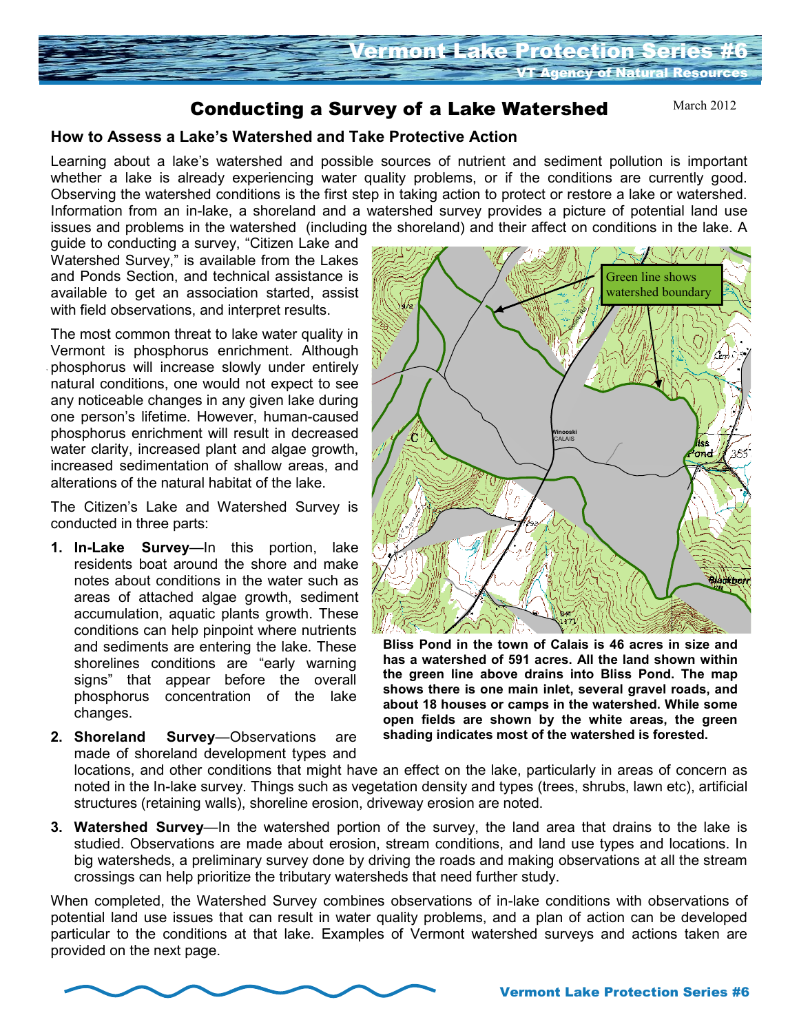

# Conducting a Survey of a Lake Watershed

March 2012

## **How to Assess a Lake's Watershed and Take Protective Action**

Learning about a lake's watershed and possible sources of nutrient and sediment pollution is important whether a lake is already experiencing water quality problems, or if the conditions are currently good. Observing the watershed conditions is the first step in taking action to protect or restore a lake or watershed. Information from an in-lake, a shoreland and a watershed survey provides a picture of potential land use issues and problems in the watershed (including the shoreland) and their affect on conditions in the lake. A

guide to conducting a survey, "Citizen Lake and Watershed Survey," is available from the Lakes and Ponds Section, and technical assistance is available to get an association started, assist with field observations, and interpret results.

The most common threat to lake water quality in Vermont is phosphorus enrichment. Although phosphorus will increase slowly under entirely natural conditions, one would not expect to see any noticeable changes in any given lake during one person's lifetime. However, human-caused phosphorus enrichment will result in decreased water clarity, increased plant and algae growth, increased sedimentation of shallow areas, and alterations of the natural habitat of the lake.

The Citizen's Lake and Watershed Survey is conducted in three parts:

- **1. In-Lake Survey**—In this portion, lake residents boat around the shore and make notes about conditions in the water such as areas of attached algae growth, sediment accumulation, aquatic plants growth. These conditions can help pinpoint where nutrients and sediments are entering the lake. These shorelines conditions are "early warning signs" that appear before the overall phosphorus concentration of the lake changes.
- **2. Shoreland Survey**—Observations are made of shoreland development types and



**Bliss Pond in the town of Calais is 46 acres in size and has a watershed of 591 acres. All the land shown within the green line above drains into Bliss Pond. The map shows there is one main inlet, several gravel roads, and about 18 houses or camps in the watershed. While some open fields are shown by the white areas, the green shading indicates most of the watershed is forested.**

locations, and other conditions that might have an effect on the lake, particularly in areas of concern as noted in the In-lake survey. Things such as vegetation density and types (trees, shrubs, lawn etc), artificial structures (retaining walls), shoreline erosion, driveway erosion are noted.

**3. Watershed Survey**—In the watershed portion of the survey, the land area that drains to the lake is studied. Observations are made about erosion, stream conditions, and land use types and locations. In big watersheds, a preliminary survey done by driving the roads and making observations at all the stream crossings can help prioritize the tributary watersheds that need further study.

When completed, the Watershed Survey combines observations of in-lake conditions with observations of potential land use issues that can result in water quality problems, and a plan of action can be developed particular to the conditions at that lake. Examples of Vermont watershed surveys and actions taken are provided on the next page.